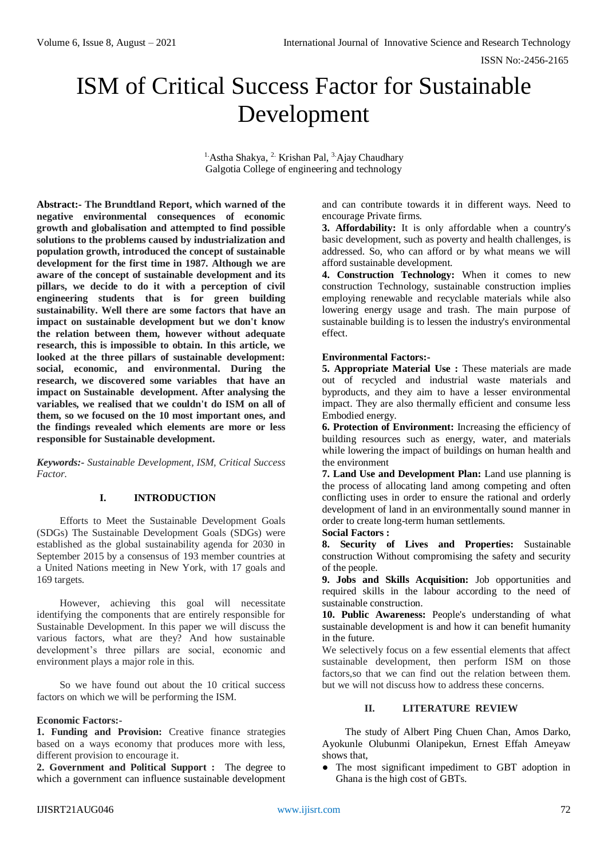# ISM of Critical Success Factor for Sustainable Development

<sup>1.</sup> Astha Shakya, <sup>2.</sup> Krishan Pal, <sup>3.</sup> Ajay Chaudhary Galgotia College of engineering and technology

**Abstract:- The Brundtland Report, which warned of the negative environmental consequences of economic growth and globalisation and attempted to find possible solutions to the problems caused by industrialization and population growth, introduced the concept of sustainable development for the first time in 1987. Although we are aware of the concept of sustainable development and its pillars, we decide to do it with a perception of civil engineering students that is for green building sustainability. Well there are some factors that have an impact on sustainable development but we don't know the relation between them, however without adequate research, this is impossible to obtain. In this article, we looked at the three pillars of sustainable development: social, economic, and environmental. During the research, we discovered some variables that have an impact on Sustainable development. After analysing the variables, we realised that we couldn't do ISM on all of them, so we focused on the 10 most important ones, and the findings revealed which elements are more or less responsible for Sustainable development.**

*Keywords:- Sustainable Development, ISM, Critical Success Factor.*

# **I. INTRODUCTION**

Efforts to Meet the Sustainable Development Goals (SDGs) The Sustainable Development Goals (SDGs) were established as the global sustainability agenda for 2030 in September 2015 by a consensus of 193 member countries at a United Nations meeting in New York, with 17 goals and 169 targets.

However, achieving this goal will necessitate identifying the components that are entirely responsible for Sustainable Development. In this paper we will discuss the various factors, what are they? And how sustainable development's three pillars are social, economic and environment plays a major role in this.

So we have found out about the 10 critical success factors on which we will be performing the ISM.

#### **Economic Factors:-**

**1. Funding and Provision:** Creative finance strategies based on a ways economy that produces more with less, different provision to encourage it.

**2. Government and Political Support :** The degree to which a government can influence sustainable development and can contribute towards it in different ways. Need to encourage Private firms.

**3. Affordability:** It is only affordable when a country's basic development, such as poverty and health challenges, is addressed. So, who can afford or by what means we will afford sustainable development.

**4. Construction Technology:** When it comes to new construction Technology, sustainable construction implies employing renewable and recyclable materials while also lowering energy usage and trash. The main purpose of sustainable building is to lessen the industry's environmental effect.

# **Environmental Factors:-**

**5. Appropriate Material Use :** These materials are made out of recycled and industrial waste materials and byproducts, and they aim to have a lesser environmental impact. They are also thermally efficient and consume less Embodied energy.

**6. Protection of Environment:** Increasing the efficiency of building resources such as energy, water, and materials while lowering the impact of buildings on human health and the environment

**7. Land Use and Development Plan:** Land use planning is the process of allocating land among competing and often conflicting uses in order to ensure the rational and orderly development of land in an environmentally sound manner in order to create long-term human settlements.

**Social Factors :** 

**8. Security of Lives and Properties:** Sustainable construction Without compromising the safety and security of the people.

**9. Jobs and Skills Acquisition:** Job opportunities and required skills in the labour according to the need of sustainable construction.

**10. Public Awareness:** People's understanding of what sustainable development is and how it can benefit humanity in the future.

We selectively focus on a few essential elements that affect sustainable development, then perform ISM on those factors,so that we can find out the relation between them. but we will not discuss how to address these concerns.

# **II. LITERATURE REVIEW**

The study of Albert Ping Chuen Chan, Amos Darko, Ayokunle Olubunmi Olanipekun, Ernest Effah Ameyaw shows that,

● The most significant impediment to GBT adoption in Ghana is the high cost of GBTs.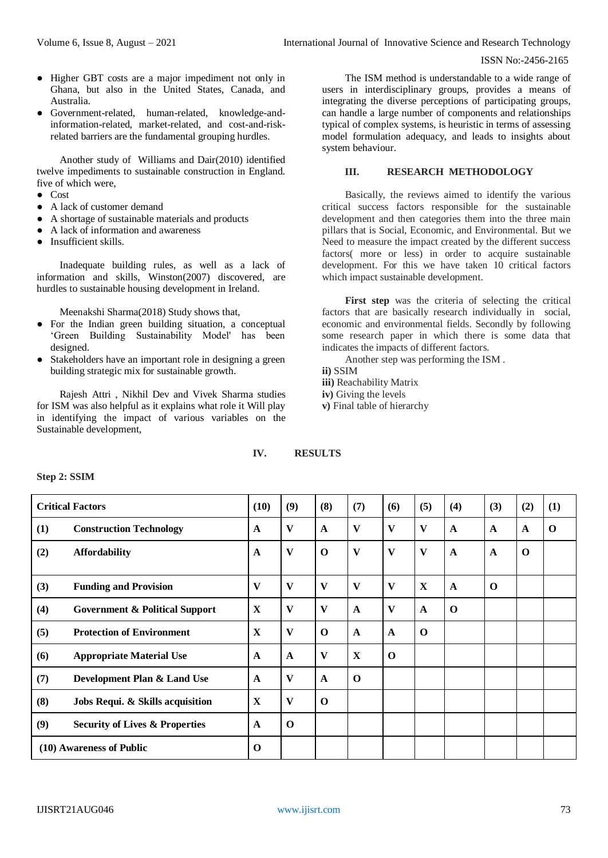- Higher GBT costs are a major impediment not only in Ghana, but also in the United States, Canada, and Australia.
- Government-related, human-related, knowledge-andinformation-related, market-related, and cost-and-riskrelated barriers are the fundamental grouping hurdles.

Another study of Williams and Dair(2010) identified twelve impediments to sustainable construction in England. five of which were,

- Cost
- A lack of customer demand
- A shortage of sustainable materials and products
- A lack of information and awareness
- Insufficient skills

Inadequate building rules, as well as a lack of information and skills, Winston(2007) discovered, are hurdles to sustainable housing development in Ireland.

Meenakshi Sharma(2018) Study shows that,

- For the Indian green building situation, a conceptual 'Green Building Sustainability Model' has been designed.
- Stakeholders have an important role in designing a green building strategic mix for sustainable growth.

Rajesh Attri , Nikhil Dev and Vivek Sharma studies for ISM was also helpful as it explains what role it Will play in identifying the impact of various variables on the Sustainable development,

The ISM method is understandable to a wide range of users in interdisciplinary groups, provides a means of integrating the diverse perceptions of participating groups, can handle a large number of components and relationships typical of complex systems, is heuristic in terms of assessing model formulation adequacy, and leads to insights about system behaviour.

# **III. RESEARCH METHODOLOGY**

Basically, the reviews aimed to identify the various critical success factors responsible for the sustainable development and then categories them into the three main pillars that is Social, Economic, and Environmental. But we Need to measure the impact created by the different success factors( more or less) in order to acquire sustainable development. For this we have taken 10 critical factors which impact sustainable development.

First step was the criteria of selecting the critical factors that are basically research individually in social, economic and environmental fields. Secondly by following some research paper in which there is some data that indicates the impacts of different factors.

Another step was performing the ISM .

**ii)** SSIM

- **iii)** Reachability Matrix
- **iv)** Giving the levels
- **v)** Final table of hierarchy

# **IV. RESULTS**

#### **Step 2: SSIM**

| <b>Critical Factors</b>  |                                           | (10)         | (9)          | (8)          | (7)          | (6)          | (5)          | (4)          | (3)         | (2)          | (1)         |
|--------------------------|-------------------------------------------|--------------|--------------|--------------|--------------|--------------|--------------|--------------|-------------|--------------|-------------|
| (1)                      | <b>Construction Technology</b>            | $\mathbf A$  | V            | $\mathbf{A}$ | V            | $\mathbf{V}$ | $\mathbf{V}$ | $\mathbf{A}$ | A           | $\mathbf{A}$ | $\mathbf 0$ |
| (2)                      | <b>Affordability</b>                      | $\mathbf{A}$ | V            | $\mathbf 0$  | V            | $\mathbf{V}$ | V            | $\mathbf{A}$ | $\mathbf A$ | $\mathbf 0$  |             |
| (3)                      | <b>Funding and Provision</b>              | V            | $\mathbf{V}$ | $\mathbf{V}$ | V            | $\mathbf{V}$ | X            | $\mathbf{A}$ | $\mathbf 0$ |              |             |
| (4)                      | <b>Government &amp; Political Support</b> | X            | V            | V            | $\mathbf{A}$ | V            | $\mathbf A$  | $\mathbf 0$  |             |              |             |
| (5)                      | <b>Protection of Environment</b>          | X            | V            | $\mathbf 0$  | $\mathbf A$  | $\mathbf{A}$ | $\mathbf 0$  |              |             |              |             |
| (6)                      | <b>Appropriate Material Use</b>           | $\mathbf{A}$ | $\mathbf A$  | V            | X            | $\mathbf 0$  |              |              |             |              |             |
| (7)                      | Development Plan & Land Use               | $\mathbf{A}$ | $\mathbf{V}$ | $\mathbf{A}$ | $\mathbf 0$  |              |              |              |             |              |             |
| (8)                      | Jobs Requi. & Skills acquisition          | X            | $\mathbf{V}$ | $\mathbf 0$  |              |              |              |              |             |              |             |
| (9)                      | <b>Security of Lives &amp; Properties</b> | A            | $\Omega$     |              |              |              |              |              |             |              |             |
| (10) Awareness of Public |                                           |              |              |              |              |              |              |              |             |              |             |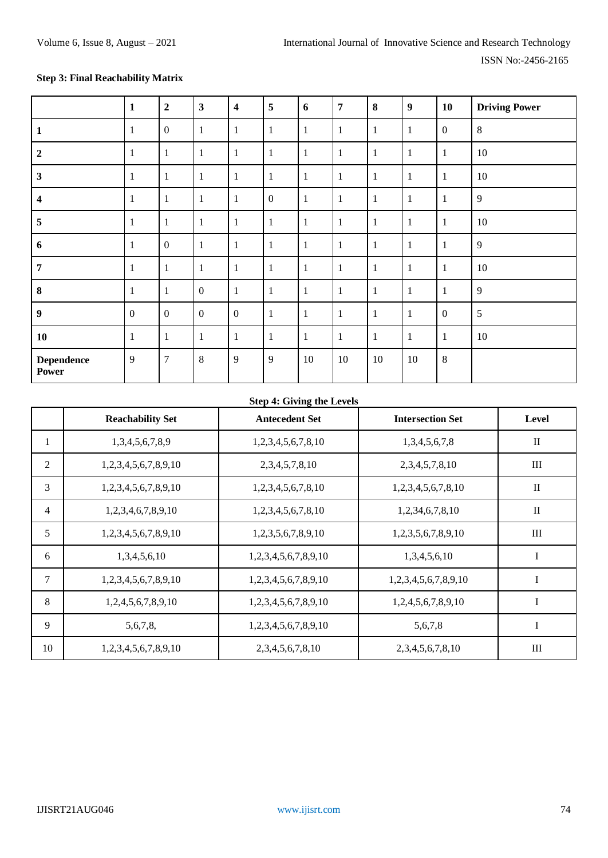# **Step 3: Final Reachability Matrix**

|                            | $\mathbf{1}$     | $\overline{2}$   | 3                | $\overline{\mathbf{4}}$ | 5            | 6            | $\overline{7}$ | 8            | 9      | 10               | <b>Driving Power</b> |
|----------------------------|------------------|------------------|------------------|-------------------------|--------------|--------------|----------------|--------------|--------|------------------|----------------------|
| $\mathbf{1}$               | 1                | $\boldsymbol{0}$ |                  | $\mathbf{1}$            | $\mathbf{1}$ | $\mathbf{1}$ | $\mathbf{1}$   | 1            | 1      | $\overline{0}$   | 8                    |
| $\overline{2}$             | 1                | $\mathbf{1}$     |                  | 1                       | $\mathbf{1}$ | $\mathbf{1}$ | 1              | 1            | 1      | 1                | 10                   |
| $\mathbf{3}$               | $\mathbf{1}$     | $\mathbf{1}$     |                  | $\mathbf{1}$            | $\mathbf{1}$ | $\mathbf{1}$ | $\mathbf{1}$   | 1            | 1      |                  | 10                   |
| $\overline{\mathbf{4}}$    | 1                | $\mathbf{1}$     |                  | $\mathbf{1}$            | $\mathbf{0}$ | $\mathbf{1}$ | 1              | 1            | 1      |                  | 9                    |
| 5                          | $\mathbf{1}$     | $\mathbf{1}$     |                  | $\mathbf{1}$            | $\mathbf{1}$ | $\mathbf{1}$ | $\mathbf{1}$   | 1            | 1      | 1                | 10                   |
| 6                          | 1                | $\boldsymbol{0}$ |                  | $\mathbf{1}$            | $\mathbf{1}$ | $\mathbf{1}$ | $\mathbf{1}$   | 1            | 1      |                  | 9                    |
| $\overline{7}$             | $\mathbf{1}$     | $\mathbf{1}$     | $\mathbf{1}$     | $\mathbf{1}$            | $\mathbf{1}$ | $\mathbf{1}$ | $\mathbf{1}$   | $\mathbf{1}$ | 1      | $\mathbf{1}$     | 10                   |
| $\boldsymbol{8}$           | 1                | $\mathbf{1}$     | $\mathbf{0}$     | $\mathbf{1}$            | $\mathbf{1}$ | $\mathbf{1}$ | $\mathbf{1}$   | 1            | 1      |                  | 9                    |
| $\boldsymbol{9}$           | $\boldsymbol{0}$ | $\mathbf{0}$     | $\boldsymbol{0}$ | $\boldsymbol{0}$        | $\mathbf{1}$ | $\mathbf{1}$ | $\mathbf{1}$   | 1            | 1      | $\boldsymbol{0}$ | 5                    |
| 10                         | 1                | $\mathbf{1}$     |                  | $\mathbf{1}$            | $\mathbf{1}$ | $\mathbf{1}$ | $\mathbf{1}$   | $\mathbf{1}$ | 1      |                  | 10                   |
| <b>Dependence</b><br>Power | 9                | $\overline{7}$   | 8                | 9                       | 9            | 10           | 10             | 10           | $10\,$ | 8                |                      |

# **Step 4: Giving the Levels**

|    | <b>Reachability Set</b> | <b>Antecedent Set</b>         | <b>Intersection Set</b> | <b>Level</b> |
|----|-------------------------|-------------------------------|-------------------------|--------------|
| 1  | 1,3,4,5,6,7,8,9         | 1,2,3,4,5,6,7,8,10            | 1,3,4,5,6,7,8           | $\mathbf{I}$ |
| 2  | 1,2,3,4,5,6,7,8,9,10    | 2, 3, 4, 5, 7, 8, 10          | 2, 3, 4, 5, 7, 8, 10    | III          |
| 3  | 1,2,3,4,5,6,7,8,9,10    | 1,2,3,4,5,6,7,8,10            | 1,2,3,4,5,6,7,8,10      | $\mathbf{I}$ |
| 4  | 1,2,3,4,6,7,8,9,10      | 1,2,3,4,5,6,7,8,10            | 1,2,34,6,7,8,10         | $\mathbf{I}$ |
| 5  | 1,2,3,4,5,6,7,8,9,10    | 1,2,3,5,6,7,8,9,10            | 1,2,3,5,6,7,8,9,10      | III          |
| 6  | 1,3,4,5,6,10            | 1, 2, 3, 4, 5, 6, 7, 8, 9, 10 | 1,3,4,5,6,10            | I            |
| 7  | 1,2,3,4,5,6,7,8,9,10    | 1, 2, 3, 4, 5, 6, 7, 8, 9, 10 | 1,2,3,4,5,6,7,8,9,10    | Ι            |
| 8  | 1,2,4,5,6,7,8,9,10      | 1,2,3,4,5,6,7,8,9,10          | 1,2,4,5,6,7,8,9,10      | I            |
| 9  | 5,6,7,8,                | 1,2,3,4,5,6,7,8,9,10          | 5,6,7,8                 | I            |
| 10 | 1,2,3,4,5,6,7,8,9,10    | 2, 3, 4, 5, 6, 7, 8, 10       | 2, 3, 4, 5, 6, 7, 8, 10 | III          |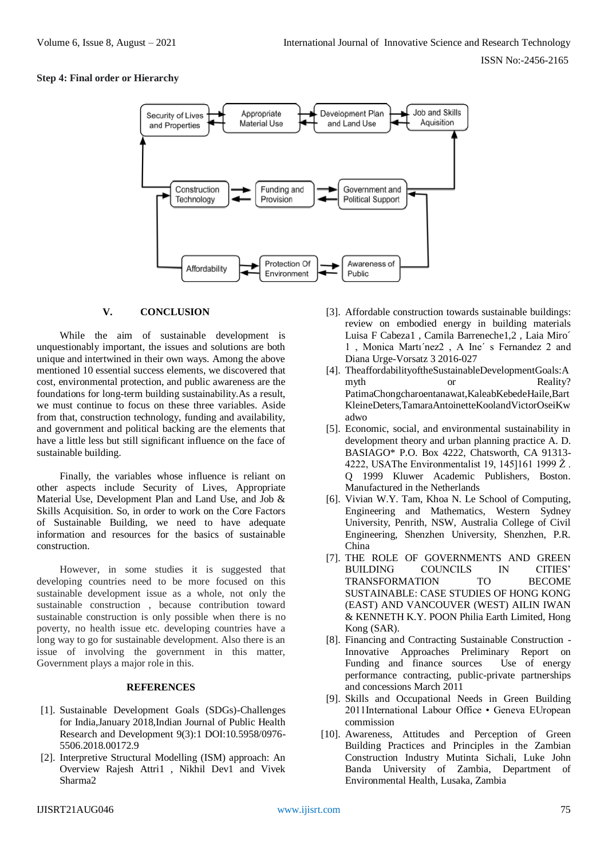## **Step 4: Final order or Hierarchy**



# **V. CONCLUSION**

While the aim of sustainable development is unquestionably important, the issues and solutions are both unique and intertwined in their own ways. Among the above mentioned 10 essential success elements, we discovered that cost, environmental protection, and public awareness are the foundations for long-term building sustainability.As a result, we must continue to focus on these three variables. Aside from that, construction technology, funding and availability, and government and political backing are the elements that have a little less but still significant influence on the face of sustainable building.

Finally, the variables whose influence is reliant on other aspects include Security of Lives, Appropriate Material Use, Development Plan and Land Use, and Job & Skills Acquisition. So, in order to work on the Core Factors of Sustainable Building, we need to have adequate information and resources for the basics of sustainable construction.

However, in some studies it is suggested that developing countries need to be more focused on this sustainable development issue as a whole, not only the sustainable construction , because contribution toward sustainable construction is only possible when there is no poverty, no health issue etc. developing countries have a long way to go for sustainable development. Also there is an issue of involving the government in this matter, Government plays a major role in this.

## **REFERENCES**

- [1]. Sustainable Development Goals (SDGs)-Challenges for India,January 2018,Indian Journal of Public Health Research and Development 9(3):1 DOI:10.5958/0976- 5506.2018.00172.9
- [2]. Interpretive Structural Modelling (ISM) approach: An Overview Rajesh Attri1 , Nikhil Dev1 and Vivek Sharma2
- [3]. Affordable construction towards sustainable buildings: review on embodied energy in building materials Luisa F Cabeza1 , Camila Barreneche1,2 , Laia Miro´ 1 , Monica Martı´nez2 , A Ine´ s Fernandez 2 and Diana Urge-Vorsatz 3 2016-027
- [4]. TheaffordabilityoftheSustainableDevelopmentGoals:A myth or Reality? PatimaChongcharoentanawat,KaleabKebedeHaile,Bart KleineDeters,TamaraAntoinetteKoolandVictorOseiKw adwo
- [5]. Economic, social, and environmental sustainability in development theory and urban planning practice A. D. BASIAGO\* P.O. Box 4222, Chatsworth, CA 91313- 4222, USAThe Environmentalist 19, 145]161 1999 Ž . Q 1999 Kluwer Academic Publishers, Boston. Manufactured in the Netherlands
- [6]. Vivian W.Y. Tam, Khoa N. Le School of Computing, Engineering and Mathematics, Western Sydney University, Penrith, NSW, Australia College of Civil Engineering, Shenzhen University, Shenzhen, P.R. China
- [7]. THE ROLE OF GOVERNMENTS AND GREEN BUILDING COUNCILS IN CITIES' TRANSFORMATION TO BECOME SUSTAINABLE: CASE STUDIES OF HONG KONG (EAST) AND VANCOUVER (WEST) AILIN IWAN & KENNETH K.Y. POON Philia Earth Limited, Hong Kong (SAR).
- [8]. Financing and Contracting Sustainable Construction Innovative Approaches Preliminary Report on Funding and finance sources Use of energy performance contracting, public-private partnerships and concessions March 2011
- [9]. Skills and Occupational Needs in Green Building 2011International Labour Office • Geneva EUropean commission
- [10]. Awareness, Attitudes and Perception of Green Building Practices and Principles in the Zambian Construction Industry Mutinta Sichali, Luke John Banda University of Zambia, Department of Environmental Health, Lusaka, Zambia